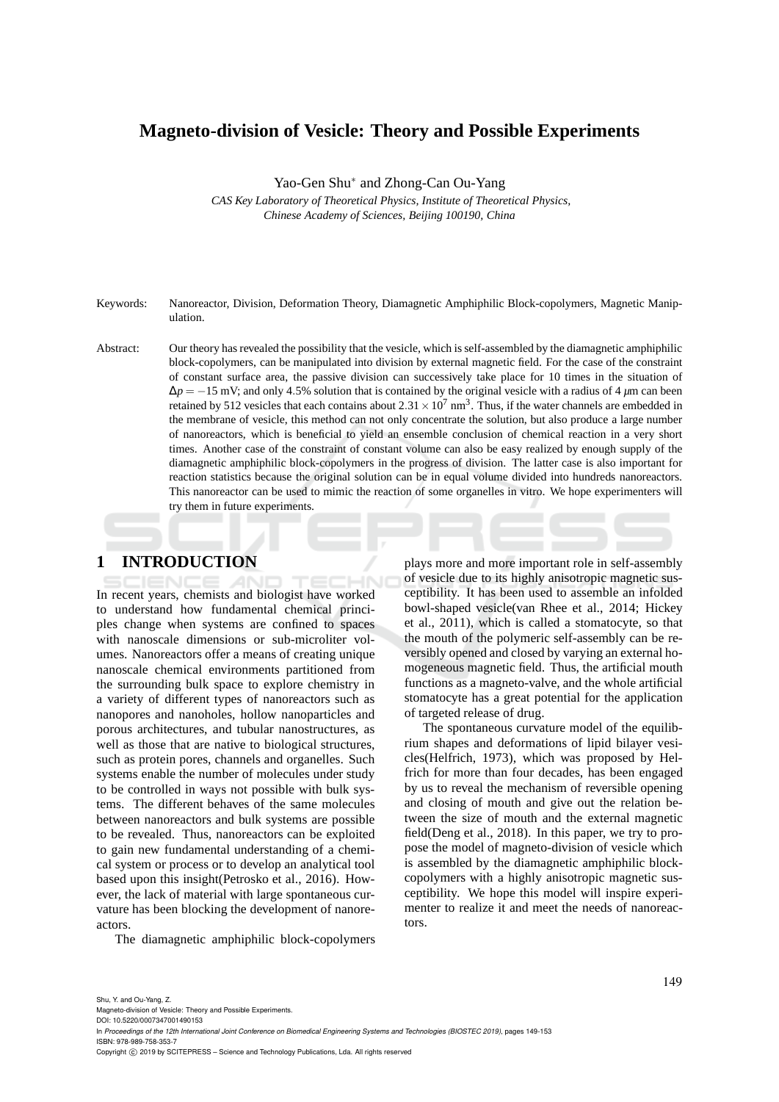### **Magneto-division of Vesicle: Theory and Possible Experiments**

Yao-Gen Shu<sup>∗</sup> and Zhong-Can Ou-Yang

*CAS Key Laboratory of Theoretical Physics, Institute of Theoretical Physics, Chinese Academy of Sciences, Beijing 100190, China*

- Keywords: Nanoreactor, Division, Deformation Theory, Diamagnetic Amphiphilic Block-copolymers, Magnetic Manipulation.
- Abstract: Our theory has revealed the possibility that the vesicle, which is self-assembled by the diamagnetic amphiphilic block-copolymers, can be manipulated into division by external magnetic field. For the case of the constraint of constant surface area, the passive division can successively take place for 10 times in the situation of  $Δp = −15$  mV; and only 4.5% solution that is contained by the original vesicle with a radius of 4 *µ*m can been retained by 512 vesicles that each contains about  $2.31 \times 10^7$  nm<sup>3</sup>. Thus, if the water channels are embedded in the membrane of vesicle, this method can not only concentrate the solution, but also produce a large number of nanoreactors, which is beneficial to yield an ensemble conclusion of chemical reaction in a very short times. Another case of the constraint of constant volume can also be easy realized by enough supply of the diamagnetic amphiphilic block-copolymers in the progress of division. The latter case is also important for reaction statistics because the original solution can be in equal volume divided into hundreds nanoreactors. This nanoreactor can be used to mimic the reaction of some organelles in vitro. We hope experimenters will try them in future experiments.

### **1 INTRODUCTION**

In recent years, chemists and biologist have worked to understand how fundamental chemical principles change when systems are confined to spaces with nanoscale dimensions or sub-microliter volumes. Nanoreactors offer a means of creating unique nanoscale chemical environments partitioned from the surrounding bulk space to explore chemistry in a variety of different types of nanoreactors such as nanopores and nanoholes, hollow nanoparticles and porous architectures, and tubular nanostructures, as well as those that are native to biological structures, such as protein pores, channels and organelles. Such systems enable the number of molecules under study to be controlled in ways not possible with bulk systems. The different behaves of the same molecules between nanoreactors and bulk systems are possible to be revealed. Thus, nanoreactors can be exploited to gain new fundamental understanding of a chemical system or process or to develop an analytical tool based upon this insight(Petrosko et al., 2016). However, the lack of material with large spontaneous curvature has been blocking the development of nanoreactors.

The diamagnetic amphiphilic block-copolymers

plays more and more important role in self-assembly of vesicle due to its highly anisotropic magnetic susceptibility. It has been used to assemble an infolded bowl-shaped vesicle(van Rhee et al., 2014; Hickey et al., 2011), which is called a stomatocyte, so that the mouth of the polymeric self-assembly can be reversibly opened and closed by varying an external homogeneous magnetic field. Thus, the artificial mouth functions as a magneto-valve, and the whole artificial stomatocyte has a great potential for the application of targeted release of drug.

The spontaneous curvature model of the equilibrium shapes and deformations of lipid bilayer vesicles(Helfrich, 1973), which was proposed by Helfrich for more than four decades, has been engaged by us to reveal the mechanism of reversible opening and closing of mouth and give out the relation between the size of mouth and the external magnetic field(Deng et al., 2018). In this paper, we try to propose the model of magneto-division of vesicle which is assembled by the diamagnetic amphiphilic blockcopolymers with a highly anisotropic magnetic susceptibility. We hope this model will inspire experimenter to realize it and meet the needs of nanoreactors.

DOI: 10.5220/0007347001490153 In *Proceedings of the 12th International Joint Conference on Biomedical Engineering Systems and Technologies (BIOSTEC 2019)*, pages 149-153 ISBN: 978-989-758-353-7

Copyright (C) 2019 by SCITEPRESS - Science and Technology Publications, Lda. All rights reserved

Magneto-division of Vesicle: Theory and Possible Experiments.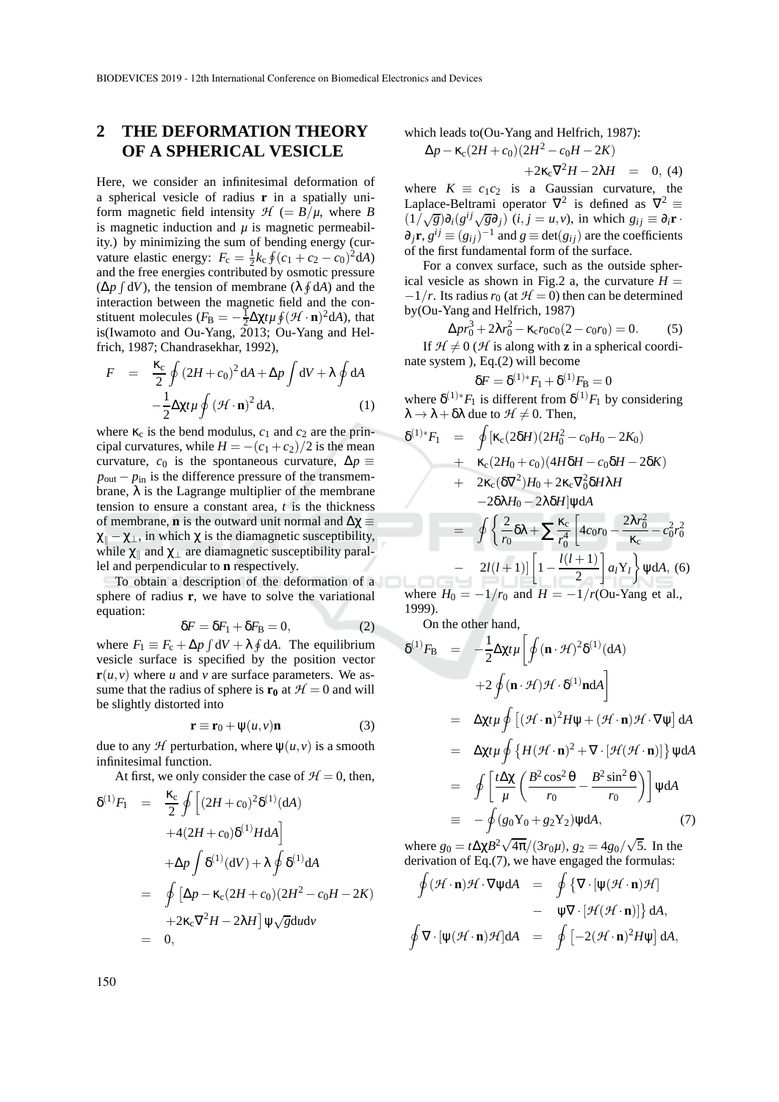## **2 THE DEFORMATION THEORY OF A SPHERICAL VESICLE**

Here, we consider an infinitesimal deformation of a spherical vesicle of radius **r** in a spatially uniform magnetic field intensity  $H$  (=  $B/\mu$ , where *B* is magnetic induction and  $\mu$  is magnetic permeability.) by minimizing the sum of bending energy (curvature elastic energy:  $F_c = \frac{1}{2}k_c \oint (c_1 + c_2 - c_0)^2 dA$ and the free energies contributed by osmotic pressure  $(\Delta p \int dV)$ , the tension of membrane  $(\lambda \oint dA)$  and the interaction between the magnetic field and the constituent molecules  $(F_B = -\frac{1}{2}\Delta \chi t \mu \oint (\mathcal{H} \cdot \mathbf{n})^2 dA)$ , that is(Iwamoto and Ou-Yang, 2013; Ou-Yang and Helfrich, 1987; Chandrasekhar, 1992),

$$
F = \frac{\kappa_c}{2} \oint (2H + c_0)^2 dA + \Delta p \int dV + \lambda \oint dA
$$

$$
-\frac{1}{2} \Delta \chi t \mu \oint (\mathcal{H} \cdot \mathbf{n})^2 dA, \qquad (1)
$$

where  $\kappa_c$  is the bend modulus,  $c_1$  and  $c_2$  are the principal curvatures, while  $H = -(c_1 + c_2)/2$  is the mean curvature,  $c_0$  is the spontaneous curvature,  $\Delta p \equiv$  $p_{\text{out}} - p_{\text{in}}$  is the difference pressure of the transmembrane,  $\lambda$  is the Lagrange multiplier of the membrane tension to ensure a constant area, *t* is the thickness of membrane, **n** is the outward unit normal and  $\Delta \chi$  $\chi_{\parallel} - \chi_{\perp}$ , in which  $\chi$  is the diamagnetic susceptibility, while  $\chi_{\parallel}$  and  $\chi_{\perp}$  are diamagnetic susceptibility parallel and perpendicular to **n** respectively.

To obtain a description of the deformation of a sphere of radius **r**, we have to solve the variational equation:

$$
\delta F = \delta F_1 + \delta F_B = 0,\tag{2}
$$

where  $F_1 \equiv F_c + \Delta p \int dV + \lambda \oint dA$ . The equilibrium vesicle surface is specified by the position vector  $\mathbf{r}(u, v)$  where *u* and *v* are surface parameters. We assume that the radius of sphere is  $\mathbf{r}_0$  at  $\mathcal{H} = 0$  and will be slightly distorted into

$$
\mathbf{r} \equiv \mathbf{r}_0 + \psi(u, v)\mathbf{n} \tag{3}
$$

due to any  $H$  perturbation, where  $\psi(u, v)$  is a smooth infinitesimal function.

At first, we only consider the case of  $H = 0$ , then,

$$
\delta^{(1)}F_1 = \frac{\kappa_c}{2} \oint \left[ (2H + c_0)^2 \delta^{(1)}(\mathrm{d}A) + 4(2H + c_0) \delta^{(1)}H \mathrm{d}A \right] \n+ \Delta p \int \delta^{(1)}(\mathrm{d}V) + \lambda \oint \delta^{(1)} \mathrm{d}A \n= \oint \left[ \Delta p - \kappa_c (2H + c_0) (2H^2 - c_0 H - 2K) + 2\kappa_c \nabla^2 H - 2\lambda H \right] \Psi \sqrt{\mathrm{g}} \mathrm{d}u \mathrm{d}v \n= 0,
$$

which leads to(Ou-Yang and Helfrich, 1987):

$$
\Delta p - \kappa_c (2H + c_0)(2H^2 - c_0H - 2K) \n+ 2\kappa_c \nabla^2 H - 2\lambda H = 0, (4)
$$

where  $K \equiv c_1 c_2$  is a Gaussian curvature, the Laplace-Beltrami operator  $\nabla^2$  is defined as  $\nabla^2 \equiv$  $(1/\sqrt{g})\partial_i(g^{ij}\sqrt{g}\partial_j)(i, j = u, v)$ , in which  $g_{ij} \equiv \partial_i \mathbf{r}$  $\partial_j \mathbf{r}, g^{ij} \equiv (g_{ij})^{-1}$  and  $g \equiv \det(g_{ij})$  are the coefficients of the first fundamental form of the surface.

For a convex surface, such as the outside spherical vesicle as shown in Fig.2 a, the curvature  $H =$  $-1/r$ . Its radius  $r_0$  (at  $H = 0$ ) then can be determined by(Ou-Yang and Helfrich, 1987)

$$
\Delta pr_0^3 + 2\lambda r_0^2 - \kappa_c r_0 c_0 (2 - c_0 r_0) = 0. \tag{5}
$$

If  $H \neq 0$  (*H* is along with **z** in a spherical coordinate system ), Eq.(2) will become

$$
\delta F=\delta^{(1)*}F_1+\delta^{(1)}F_B=0
$$

where  $\delta^{(1)*}F_1$  is different from  $\delta^{(1)}F_1$  by considering  $\lambda \rightarrow \lambda + \delta \lambda$  due to  $\mathcal{H} \neq 0$ . Then,

$$
\delta^{(1)*}F_1 = \oint [\kappa_c (2\delta H)(2H_0^2 - c_0H_0 - 2K_0)
$$
  
+  $\kappa_c (2H_0 + c_0)(4H\delta H - c_0\delta H - 2\delta K)$   
+  $2\kappa_c (\delta \nabla^2)H_0 + 2\kappa_c \nabla_0^2 \delta H \lambda H$   
-  $2\delta \lambda H_0 - 2\lambda \delta H]\psi dA$   
=  $\oint \left\{ \frac{2}{r_0} \delta \lambda + \sum \frac{\kappa_c}{r_0^4} \left[ 4c_0 r_0 - \frac{2\lambda r_0^2}{\kappa_c} - c_0^2 r_0^2 \right. \right.$   
-  $2l(l+1)] \left[ 1 - \frac{l(l+1)}{2} \right] a_l Y_l \right\} \psi dA$ , (6)

where  $H_0 = -1/r_0$  and  $H = -1/r_0$ . Yang et al., 1999).

On the other hand,

$$
\delta^{(1)}F_{\mathbf{B}} = -\frac{1}{2}\Delta\chi t\mu \left[ \oint (\mathbf{n} \cdot \mathcal{H})^2 \delta^{(1)}(\mathrm{d}A) \right.\left. + 2 \oint (\mathbf{n} \cdot \mathcal{H}) \mathcal{H} \cdot \delta^{(1)} \mathbf{n} \mathrm{d}A \right] \n= \Delta\chi t\mu \oint \left[ (\mathcal{H} \cdot \mathbf{n})^2 H \psi + (\mathcal{H} \cdot \mathbf{n}) \mathcal{H} \cdot \nabla \psi \right] \mathrm{d}A \n= \Delta\chi t\mu \oint \left\{ H (\mathcal{H} \cdot \mathbf{n})^2 + \nabla \cdot \left[ \mathcal{H} (\mathcal{H} \cdot \mathbf{n}) \right] \right\} \psi \mathrm{d}A \n= \oint \left[ \frac{t\Delta\chi}{\mu} \left( \frac{B^2 \cos^2 \theta}{r_0} - \frac{B^2 \sin^2 \theta}{r_0} \right) \right] \psi \mathrm{d}A \n\equiv -\oint (g_0 Y_0 + g_2 Y_2) \psi \mathrm{d}A, \tag{7}
$$

where  $g_0 = t \Delta \chi B^2 \sqrt{4\pi}/(3r_0\mu)$ ,  $g_2 = 4g_0/\sqrt{5}$ . In the derivation of Eq.(7), we have engaged the formulas:

$$
\oint (\mathcal{H} \cdot \mathbf{n}) \mathcal{H} \cdot \nabla \psi dA = \oint \{ \nabla \cdot [\psi(\mathcal{H} \cdot \mathbf{n}) \mathcal{H}] \n- \psi \nabla \cdot [\mathcal{H}(\mathcal{H} \cdot \mathbf{n})] \} dA, \n\oint \nabla \cdot [\psi(\mathcal{H} \cdot \mathbf{n}) \mathcal{H}] dA = \oint [-2(\mathcal{H} \cdot \mathbf{n})^2 H \psi] dA,
$$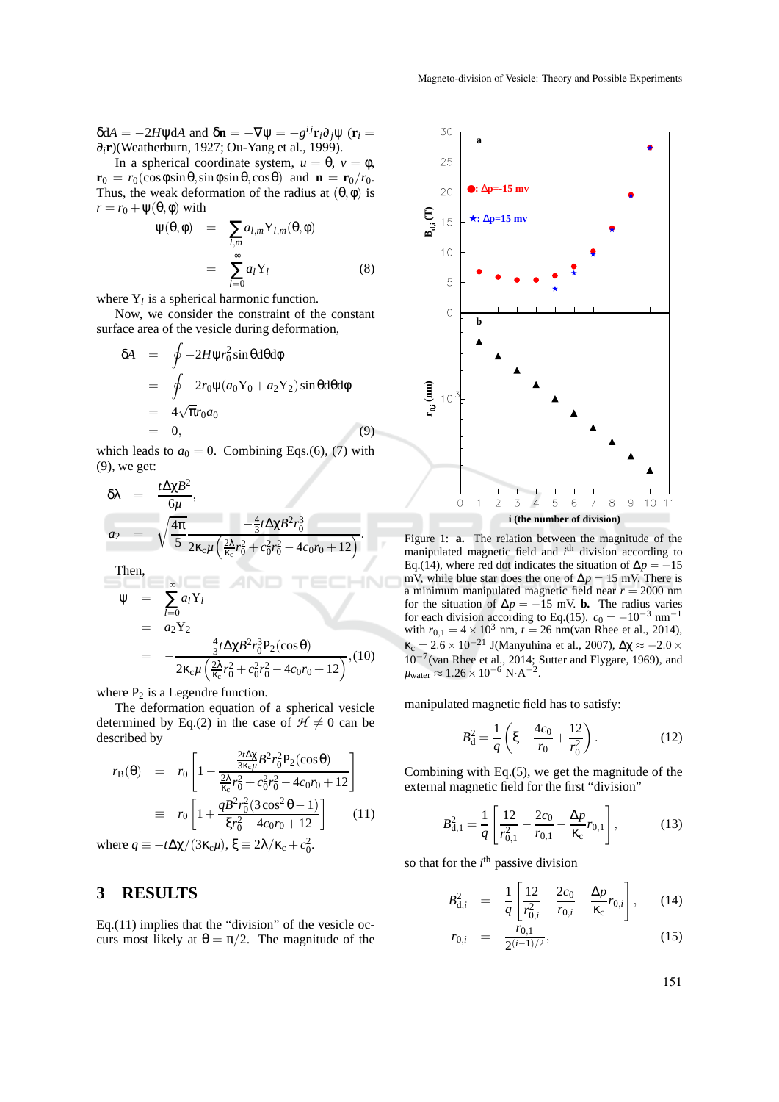$δdA = -2HψdA$  and  $δ**n** = -∇ψ = -g<sup>ij</sup>**r**<sub>i</sub>∂<sub>j</sub>ψ (**r**<sub>i</sub> =$ ∂*i***r**)(Weatherburn, 1927; Ou-Yang et al., 1999).

In a spherical coordinate system,  $u = \theta$ ,  $v = \phi$ ,  $\mathbf{r}_0 = r_0(\cos\phi\sin\theta, \sin\phi\sin\theta, \cos\theta)$  and  $\mathbf{n} = \mathbf{r}_0/r_0$ . Thus, the weak deformation of the radius at  $(\theta, \phi)$  is  $r = r_0 + \psi(\theta, \phi)$  with

$$
\Psi(\theta, \phi) = \sum_{l,m} a_{l,m} Y_{l,m}(\theta, \phi)
$$

$$
= \sum_{l=0}^{\infty} a_l Y_l
$$
(8)

where  $Y_l$  is a spherical harmonic function.

Now, we consider the constraint of the constant surface area of the vesicle during deformation,

$$
\delta A = \oint -2H\psi r_0^2 \sin\theta d\theta d\phi
$$
  
= 
$$
\oint -2r_0 \psi (a_0 Y_0 + a_2 Y_2) \sin\theta d\theta d\phi
$$
  
= 
$$
4\sqrt{\pi}r_0 a_0
$$
  
= 0, (9)

which leads to  $a_0 = 0$ . Combining Eqs.(6), (7) with (9), we get:

$$
\delta \lambda = \frac{t \Delta \chi B^2}{6\mu},
$$
\n
$$
a_2 = \sqrt{\frac{4\pi}{5}} \frac{-\frac{4}{3}t \Delta \chi B^2 r_0^3}{2\kappa_c \mu \left(\frac{2\lambda}{\kappa_c} r_0^2 + c_0^2 r_0^2 - 4c_0 r_0 + 12\right)}.
$$
\nThen,\n
$$
\Psi = \sum_{l=0}^{\infty} a_l Y_l
$$
\n
$$
= a_2 Y_2
$$
\n
$$
= -\frac{\frac{4}{3}t \Delta \chi B^2 r_0^3 P_2(\cos \theta)}{2\kappa_c \mu \left(\frac{2\lambda}{\kappa_c} r_0^2 + c_0^2 r_0^2 - 4c_0 r_0 + 12\right)}, (10)
$$

where  $P_2$  is a Legendre function.

The deformation equation of a spherical vesicle determined by Eq.(2) in the case of  $H \neq 0$  can be described by

$$
r_{\rm B}(\theta) = r_0 \left[ 1 - \frac{\frac{2t\Delta x}{3\kappa_c \mu} B^2 r_0^2 P_2(\cos \theta)}{\frac{2\lambda}{\kappa_c} r_0^2 + c_0^2 r_0^2 - 4c_0 r_0 + 12} \right]
$$
  

$$
\equiv r_0 \left[ 1 + \frac{q B^2 r_0^2 (3 \cos^2 \theta - 1)}{\xi r_0^2 - 4c_0 r_0 + 12} \right] \qquad (11)
$$

where  $q \equiv -t\Delta\chi/(3\kappa_c\mu)$ ,  $\xi \equiv 2\lambda/\kappa_c + c_0^2$ .

#### **3 RESULTS**

Eq. $(11)$  implies that the "division" of the vesicle occurs most likely at  $\theta = \pi/2$ . The magnitude of the



Figure 1: **a.** The relation between the magnitude of the manipulated magnetic field and *i*<sup>th</sup> division according to Eq.(14), where red dot indicates the situation of  $\Delta p = -15$ mV, while blue star does the one of  $\Delta p = 15$  mV. There is a minimum manipulated magnetic field near  $r = 2000$  nm for the situation of  $\Delta p = -15$  mV. **b.** The radius varies for each division according to Eq.(15).  $c_0 = -10^{-3}$  nm<sup>-1</sup> with  $r_{0,1} = 4 \times 10^3$  nm,  $t = 26$  nm(van Rhee et al., 2014),  $\kappa_c = 2.6 \times 10^{-21}$  J(Manyuhina et al., 2007),  $\Delta \chi \approx -2.0 \times$ 10−<sup>7</sup> (van Rhee et al., 2014; Sutter and Flygare, 1969), and  $\mu_{\text{water}} \approx 1.26 \times 10^{-6} \text{ N} \cdot \text{A}^{-2}.$ 

manipulated magnetic field has to satisfy:

$$
B_d^2 = \frac{1}{q} \left( \xi - \frac{4c_0}{r_0} + \frac{12}{r_0^2} \right). \tag{12}
$$

Combining with Eq.(5), we get the magnitude of the external magnetic field for the first "division"

$$
B_{\rm d,1}^2 = \frac{1}{q} \left[ \frac{12}{r_{0,1}^2} - \frac{2c_0}{r_{0,1}} - \frac{\Delta p}{\kappa_{\rm c}} r_{0,1} \right],\tag{13}
$$

so that for the  $i<sup>th</sup>$  passive division

$$
B_{\mathrm{d},i}^2 = \frac{1}{q} \left[ \frac{12}{r_{0,i}^2} - \frac{2c_0}{r_{0,i}} - \frac{\Delta p}{\kappa_{\mathrm{c}}} r_{0,i} \right],\qquad(14)
$$

$$
r_{0,i} = \frac{r_{0,1}}{2^{(i-1)/2}}, \qquad (15)
$$

151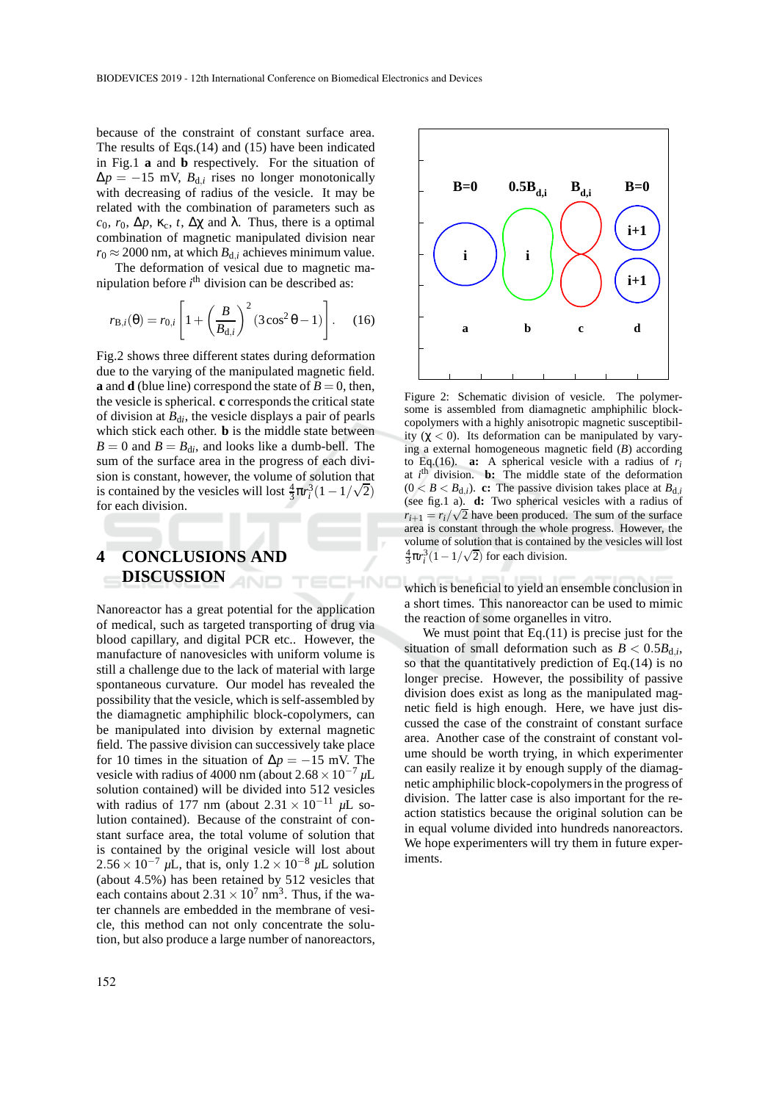because of the constraint of constant surface area. The results of Eqs.(14) and (15) have been indicated in Fig.1 **a** and **b** respectively. For the situation of  $\Delta p = -15$  mV,  $B_{d,i}$  rises no longer monotonically with decreasing of radius of the vesicle. It may be related with the combination of parameters such as *c*<sub>0</sub>, *r*<sub>0</sub>,  $\Delta p$ , κ<sub>c</sub>, *t*,  $\Delta \chi$  and λ. Thus, there is a optimal combination of magnetic manipulated division near  $r_0 \approx 2000$  nm, at which  $B_{d,i}$  achieves minimum value.

The deformation of vesical due to magnetic manipulation before *i* th division can be described as:

$$
r_{\mathbf{B},i}(\theta) = r_{0,i} \left[ 1 + \left(\frac{B}{B_{\mathrm{d},i}}\right)^2 (3\cos^2\theta - 1) \right].
$$
 (16)

Fig.2 shows three different states during deformation due to the varying of the manipulated magnetic field. **a** and **d** (blue line) correspond the state of  $B = 0$ , then, the vesicle is spherical. **c** corresponds the critical state of division at  $B_{di}$ , the vesicle displays a pair of pearls which stick each other. **b** is the middle state between  $B = 0$  and  $B = B_{di}$ , and looks like a dumb-bell. The sum of the surface area in the progress of each division is constant, however, the volume of solution that is contained by the vesicles will lost  $\frac{4}{3}\pi r_i^3(1-1/\sqrt{2})$ for each division.

ECHNO

# **4 CONCLUSIONS AND DISCUSSION**

Nanoreactor has a great potential for the application of medical, such as targeted transporting of drug via blood capillary, and digital PCR etc.. However, the manufacture of nanovesicles with uniform volume is still a challenge due to the lack of material with large spontaneous curvature. Our model has revealed the possibility that the vesicle, which is self-assembled by the diamagnetic amphiphilic block-copolymers, can be manipulated into division by external magnetic field. The passive division can successively take place for 10 times in the situation of  $\Delta p = -15$  mV. The vesicle with radius of 4000 nm (about  $2.68 \times 10^{-7}$  µL solution contained) will be divided into 512 vesicles with radius of 177 nm (about 2.<sup>31</sup> <sup>×</sup> <sup>10</sup>−<sup>11</sup> *<sup>µ</sup>*L solution contained). Because of the constraint of constant surface area, the total volume of solution that is contained by the original vesicle will lost about  $2.56 \times 10^{-7}$  µL, that is, only  $1.2 \times 10^{-8}$  µL solution (about 4.5%) has been retained by 512 vesicles that each contains about  $2.31 \times 10^7$  nm<sup>3</sup>. Thus, if the water channels are embedded in the membrane of vesicle, this method can not only concentrate the solution, but also produce a large number of nanoreactors,



Figure 2: Schematic division of vesicle. The polymersome is assembled from diamagnetic amphiphilic blockcopolymers with a highly anisotropic magnetic susceptibility  $(\chi < 0)$ . Its deformation can be manipulated by varying a external homogeneous magnetic field (*B*) according to Eq.(16). **a:** A spherical vesicle with a radius of  $r_i$ at *i*<sup>th</sup> division. **b:** The middle state of the deformation  $(0 < B < B_{d,i})$ . **c:** The passive division takes place at  $B_{d,i}$ (see fig.1 a). **d:** Two spherical vesicles with a radius of  $r_{i+1} = r_i/\sqrt{2}$  have been produced. The sum of the surface area is constant through the whole progress. However, the volume of solution that is contained by the vesicles will lost  $\frac{4}{3}\pi r_i^3(1-1/\sqrt{2})$  for each division.

which is beneficial to yield an ensemble conclusion in a short times. This nanoreactor can be used to mimic the reaction of some organelles in vitro.

We must point that Eq. $(11)$  is precise just for the situation of small deformation such as  $B < 0.5B_{d,i}$ , so that the quantitatively prediction of Eq.(14) is no longer precise. However, the possibility of passive division does exist as long as the manipulated magnetic field is high enough. Here, we have just discussed the case of the constraint of constant surface area. Another case of the constraint of constant volume should be worth trying, in which experimenter can easily realize it by enough supply of the diamagnetic amphiphilic block-copolymers in the progress of division. The latter case is also important for the reaction statistics because the original solution can be in equal volume divided into hundreds nanoreactors. We hope experimenters will try them in future experiments.